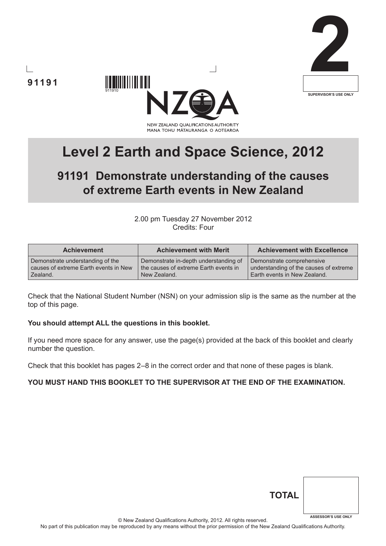





# **91191 Demonstrate understanding of the causes of extreme Earth events in New Zealand**

2.00 pm Tuesday 27 November 2012 Credits: Four

| <b>Achievement</b>                    | <b>Achievement with Merit</b>         | <b>Achievement with Excellence</b>     |
|---------------------------------------|---------------------------------------|----------------------------------------|
| Demonstrate understanding of the      | Demonstrate in-depth understanding of | Demonstrate comprehensive              |
| causes of extreme Earth events in New | the causes of extreme Earth events in | understanding of the causes of extreme |
| Zealand.                              | New Zealand.                          | Earth events in New Zealand.           |

Check that the National Student Number (NSN) on your admission slip is the same as the number at the top of this page.

#### **You should attempt ALL the questions in this booklet.**

**91191**

If you need more space for any answer, use the page(s) provided at the back of this booklet and clearly number the question.

Check that this booklet has pages 2–8 in the correct order and that none of these pages is blank.

### **YOU MUST HAND THIS BOOKLET TO THE SUPERVISOR AT THE END OF THE EXAMINATION.**

| <b>TOTAL</b> |                            |
|--------------|----------------------------|
|              |                            |
|              | <b>ASSESSOR'S USE ONLY</b> |

© New Zealand Qualifications Authority, 2012. All rights reserved.

No part of this publication may be reproduced by any means without the prior permission of the New Zealand Qualifications Authority.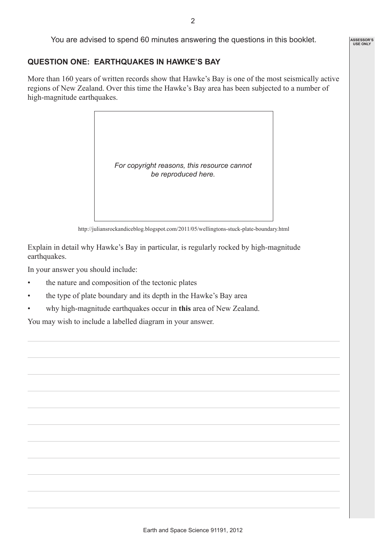You are advised to spend 60 minutes answering the questions in this booklet.

## **QUESTION ONE: EARTHQUAKES IN HAWKE'S BAY**

More than 160 years of written records show that Hawke's Bay is one of the most seismically active regions of New Zealand. Over this time the Hawke's Bay area has been subjected to a number of high-magnitude earthquakes.

> *For copyright reasons, this resource cannot be reproduced here.*

http://juliansrockandiceblog.blogspot.com/2011/05/wellingtons-stuck-plate-boundary.html

Explain in detail why Hawke's Bay in particular, is regularly rocked by high-magnitude earthquakes.

In your answer you should include:

- the nature and composition of the tectonic plates
- the type of plate boundary and its depth in the Hawke's Bay area
- why high-magnitude earthquakes occur in this area of New Zealand.

You may wish to include a labelled diagram in your answer.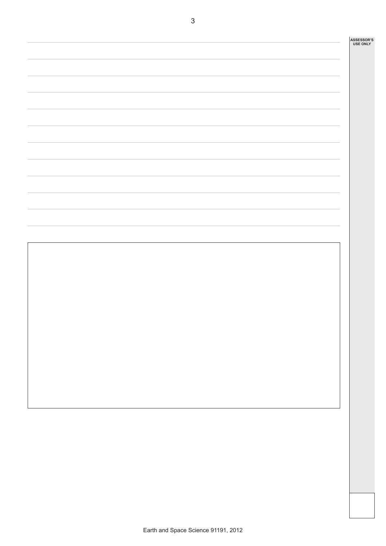| ASSESSOR'S<br>USE ONLY |
|------------------------|
|                        |
|                        |
|                        |
|                        |
|                        |
|                        |
|                        |
|                        |
|                        |
|                        |
|                        |
|                        |
|                        |
|                        |
|                        |
|                        |
|                        |
|                        |
|                        |
|                        |
|                        |
|                        |
|                        |
|                        |
|                        |
|                        |
|                        |
|                        |
|                        |
|                        |
|                        |
|                        |
|                        |
|                        |
|                        |
|                        |
|                        |
|                        |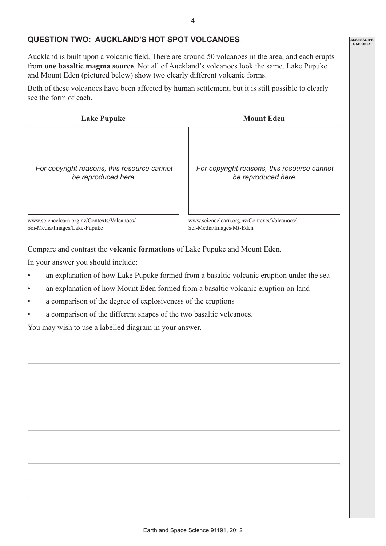## **QUESTION TWO: AUCKLAND'S HOT SPOT VOLCANOES**

Auckland is built upon a volcanic field. There are around 50 volcanoes in the area, and each erupts from **one basaltic magma source**. Not all of Auckland's volcanoes look the same. Lake Pupuke and Mount Eden (pictured below) show two clearly different volcanic forms.

Both of these volcanoes have been affected by human settlement, but it is still possible to clearly see the form of each.

*For copyright reasons, this resource cannot be reproduced here.*

**Lake Pupuke Mount Eden** 

**ASSESSOR'S USE ONLY**

*For copyright reasons, this resource cannot be reproduced here.*

www.sciencelearn.org.nz/Contexts/Volcanoes/ Sci-Media/Images/Lake-Pupuke

www.sciencelearn.org.nz/Contexts/Volcanoes/ Sci-Media/Images/Mt-Eden

Compare and contrast the **volcanic formations** of Lake Pupuke and Mount Eden.

In your answer you should include:

- an explanation of how Lake Pupuke formed from a basaltic volcanic eruption under the sea
- an explanation of how Mount Eden formed from a basaltic volcanic eruption on land
- a comparison of the degree of explosiveness of the eruptions
- a comparison of the different shapes of the two basaltic volcanoes.

You may wish to use a labelled diagram in your answer.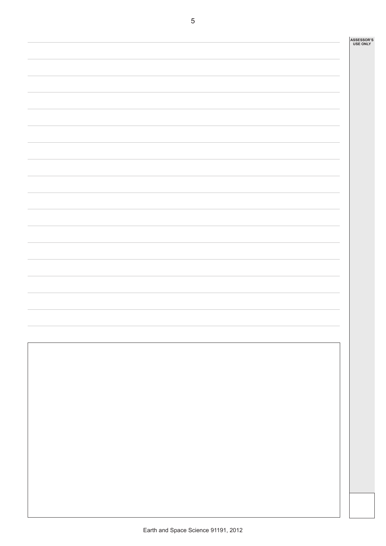|  | <b>ASSESSOR'S</b><br><b>USE ONLY</b> |  |
|--|--------------------------------------|--|
|  |                                      |  |
|  |                                      |  |
|  |                                      |  |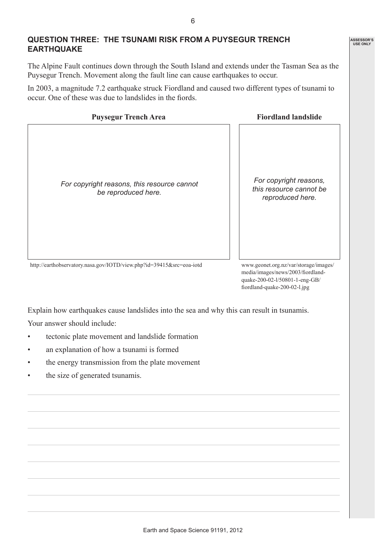## **QUESTION THREE: THE TSUNAMI RISK FROM A PUYSEGUR TRENCH EARTHQUAKE**

The Alpine Fault continues down through the South Island and extends under the Tasman Sea as the Puysegur Trench. Movement along the fault line can cause earthquakes to occur.

In 2003, a magnitude 7.2 earthquake struck Fiordland and caused two different types of tsunami to occur. One of these was due to landslides in the fiords.

| <b>Puysegur Trench Area</b>                                        | <b>Fiordland landslide</b>                                            |
|--------------------------------------------------------------------|-----------------------------------------------------------------------|
| For copyright reasons, this resource cannot<br>be reproduced here. | For copyright reasons,<br>this resource cannot be<br>reproduced here. |

http://earthobservatory.nasa.gov/IOTD/view.php?id=39415&src=eoa-iotd www.geonet.org.nz/var/storage/images/

media/images/news/2003/fiordlandquake-200-02-l/50801-1-eng-GB/ fiordland-quake-200-02-l.jpg

**ASSESSOR'S USE ONLY**

Explain how earthquakes cause landslides into the sea and why this can result in tsunamis. Your answer should include:

- • tectonic plate movement and landslide formation
- an explanation of how a tsunami is formed
- the energy transmission from the plate movement
- the size of generated tsunamis.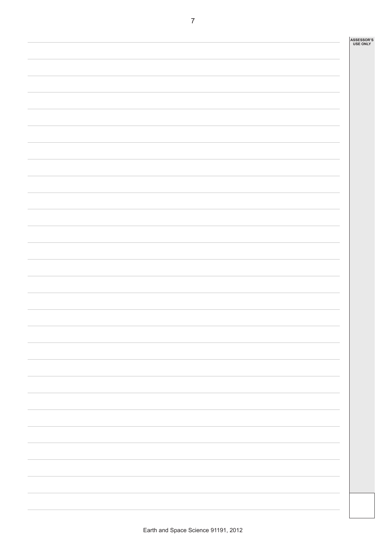**ASSESSOR'S USE ONLY**